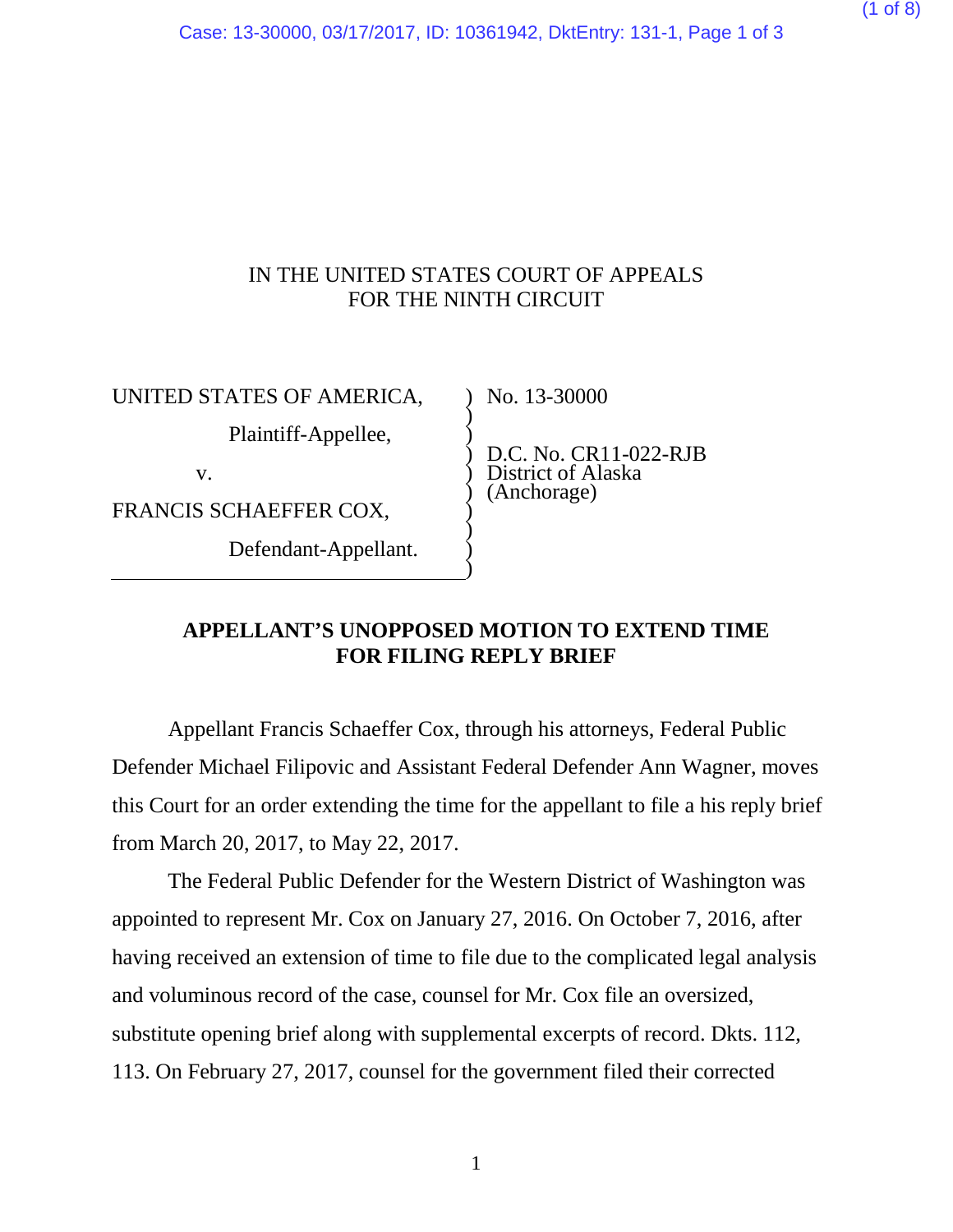### IN THE UNITED STATES COURT OF APPEALS FOR THE NINTH CIRCUIT

) ) ) ) ) ) ) ) ) )

UNITED STATES OF AMERICA,

Plaintiff-Appellee,

v.

FRANCIS SCHAEFFER COX,

Defendant-Appellant.

No. 13-30000

D.C. No. CR11-022-RJB District of Alaska (Anchorage)

#### **APPELLANT'S UNOPPOSED MOTION TO EXTEND TIME FOR FILING REPLY BRIEF**

Appellant Francis Schaeffer Cox, through his attorneys, Federal Public Defender Michael Filipovic and Assistant Federal Defender Ann Wagner, moves this Court for an order extending the time for the appellant to file a his reply brief from March 20, 2017, to May 22, 2017.

The Federal Public Defender for the Western District of Washington was appointed to represent Mr. Cox on January 27, 2016. On October 7, 2016, after having received an extension of time to file due to the complicated legal analysis and voluminous record of the case, counsel for Mr. Cox file an oversized, substitute opening brief along with supplemental excerpts of record. Dkts. 112, 113. On February 27, 2017, counsel for the government filed their corrected

1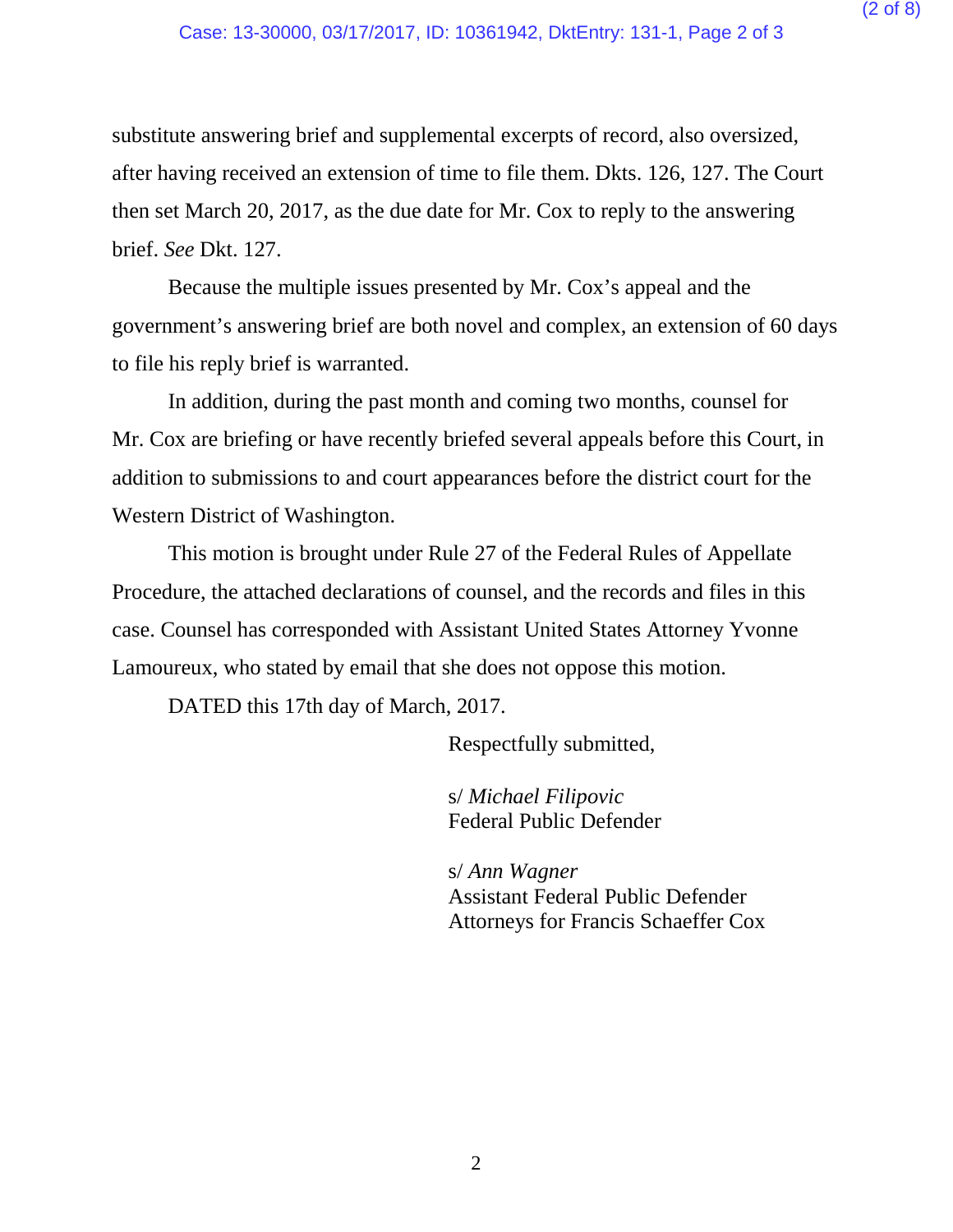substitute answering brief and supplemental excerpts of record, also oversized, after having received an extension of time to file them. Dkts. 126, 127. The Court then set March 20, 2017, as the due date for Mr. Cox to reply to the answering brief. *See* Dkt. 127.

Because the multiple issues presented by Mr. Cox's appeal and the government's answering brief are both novel and complex, an extension of 60 days to file his reply brief is warranted.

In addition, during the past month and coming two months, counsel for Mr. Cox are briefing or have recently briefed several appeals before this Court, in addition to submissions to and court appearances before the district court for the Western District of Washington.

This motion is brought under Rule 27 of the Federal Rules of Appellate Procedure, the attached declarations of counsel, and the records and files in this case. Counsel has corresponded with Assistant United States Attorney Yvonne Lamoureux, who stated by email that she does not oppose this motion.

DATED this 17th day of March, 2017.

Respectfully submitted,

s/ *Michael Filipovic* Federal Public Defender

s/ *Ann Wagner* Assistant Federal Public Defender Attorneys for Francis Schaeffer Cox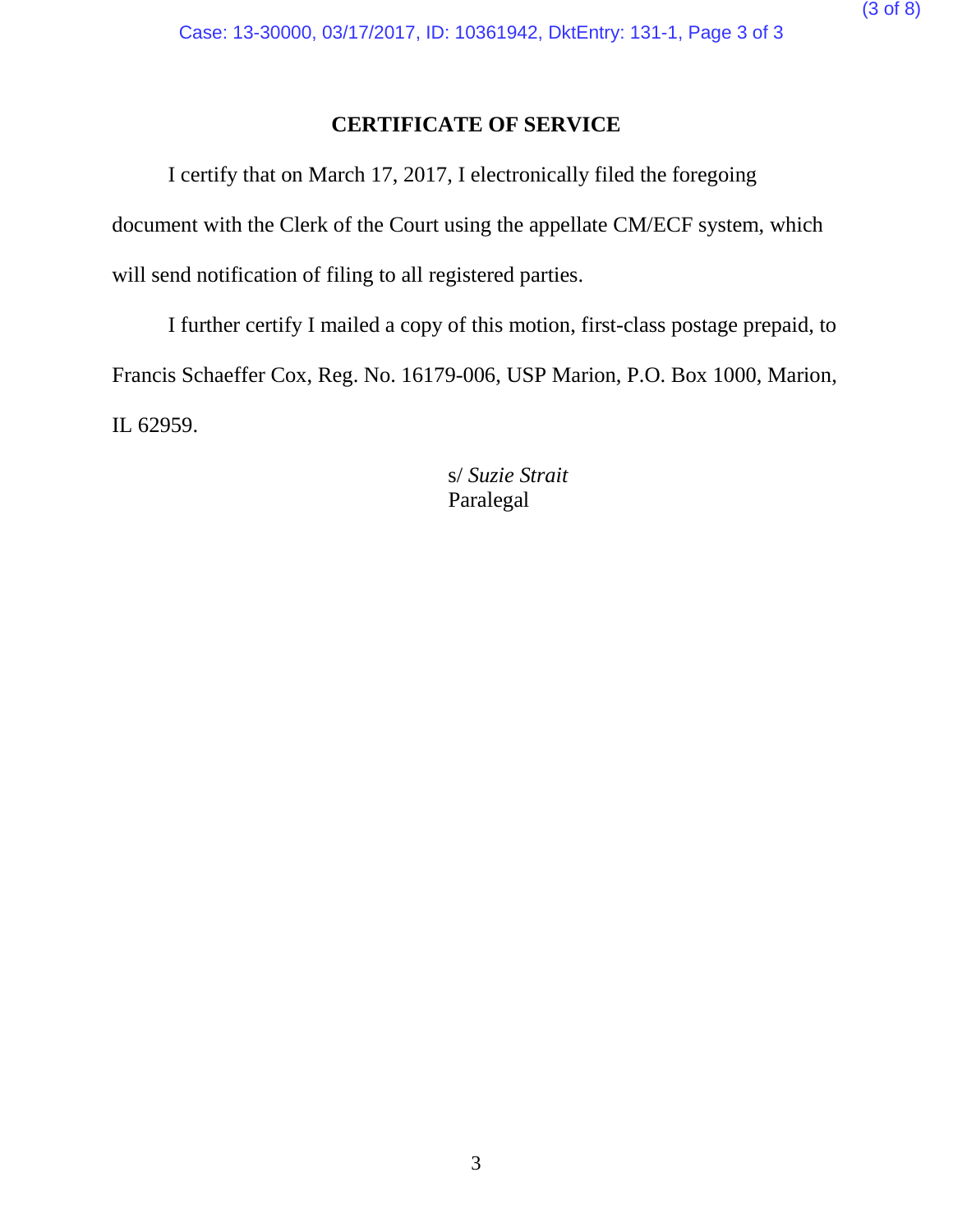# **CERTIFICATE OF SERVICE**

I certify that on March 17, 2017, I electronically filed the foregoing document with the Clerk of the Court using the appellate CM/ECF system, which will send notification of filing to all registered parties.

I further certify I mailed a copy of this motion, first-class postage prepaid, to Francis Schaeffer Cox, Reg. No. 16179-006, USP Marion, P.O. Box 1000, Marion, IL 62959.

> s/ *Suzie Strait* Paralegal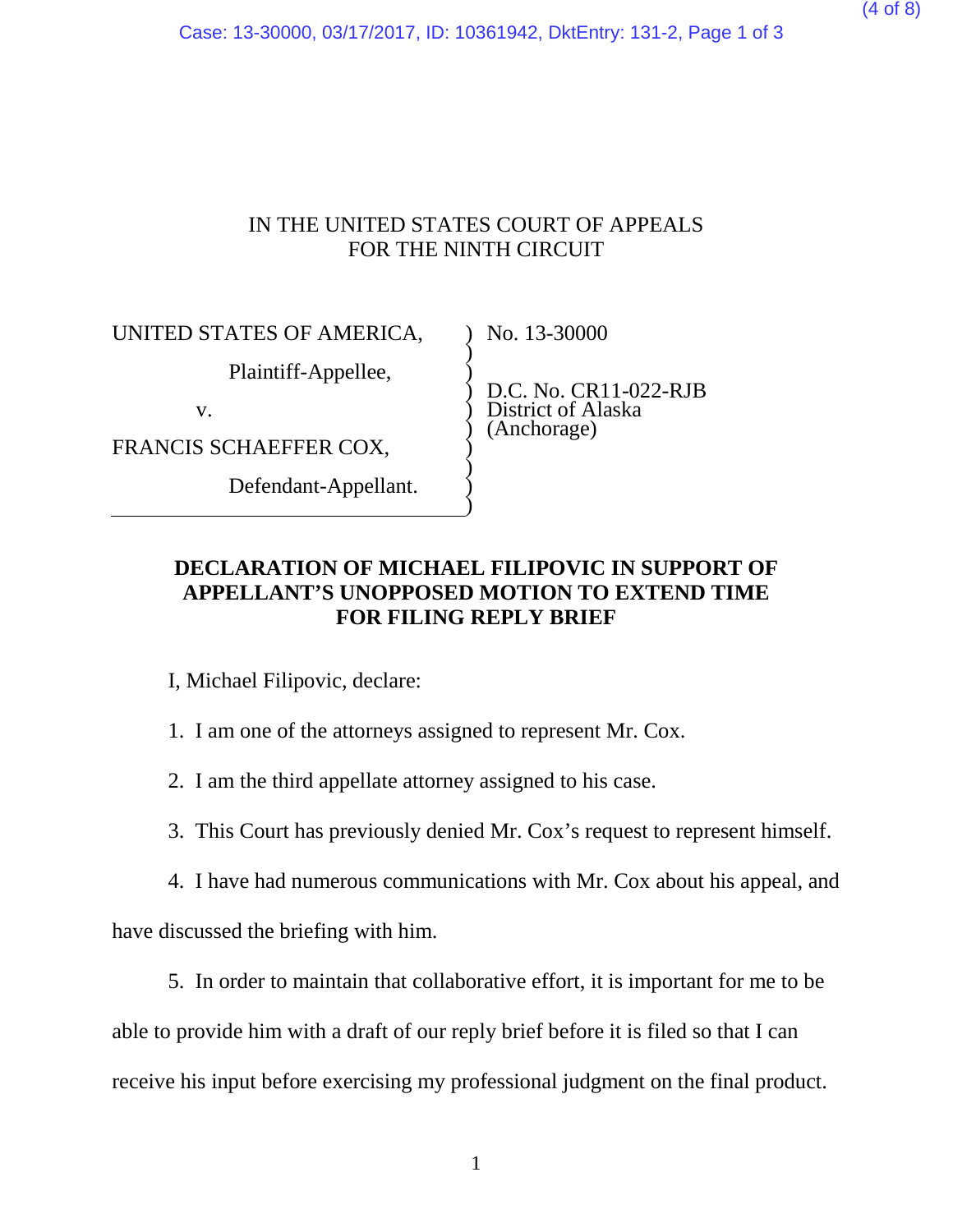Case: 13-30000, 03/17/2017, ID: 10361942, DktEntry: 131-2, Page 1 of 3

#### IN THE UNITED STATES COURT OF APPEALS FOR THE NINTH CIRCUIT

) ) ) ) ) ) ) ) ) )

UNITED STATES OF AMERICA,

Plaintiff-Appellee,

v.

FRANCIS SCHAEFFER COX,

Defendant-Appellant.

No. 13-30000

D.C. No. CR11-022-RJB District of Alaska (Anchorage)

## **DECLARATION OF MICHAEL FILIPOVIC IN SUPPORT OF APPELLANT'S UNOPPOSED MOTION TO EXTEND TIME FOR FILING REPLY BRIEF**

I, Michael Filipovic, declare:

1. I am one of the attorneys assigned to represent Mr. Cox.

2. I am the third appellate attorney assigned to his case.

3. This Court has previously denied Mr. Cox's request to represent himself.

4. I have had numerous communications with Mr. Cox about his appeal, and

have discussed the briefing with him.

5. In order to maintain that collaborative effort, it is important for me to be

able to provide him with a draft of our reply brief before it is filed so that I can receive his input before exercising my professional judgment on the final product.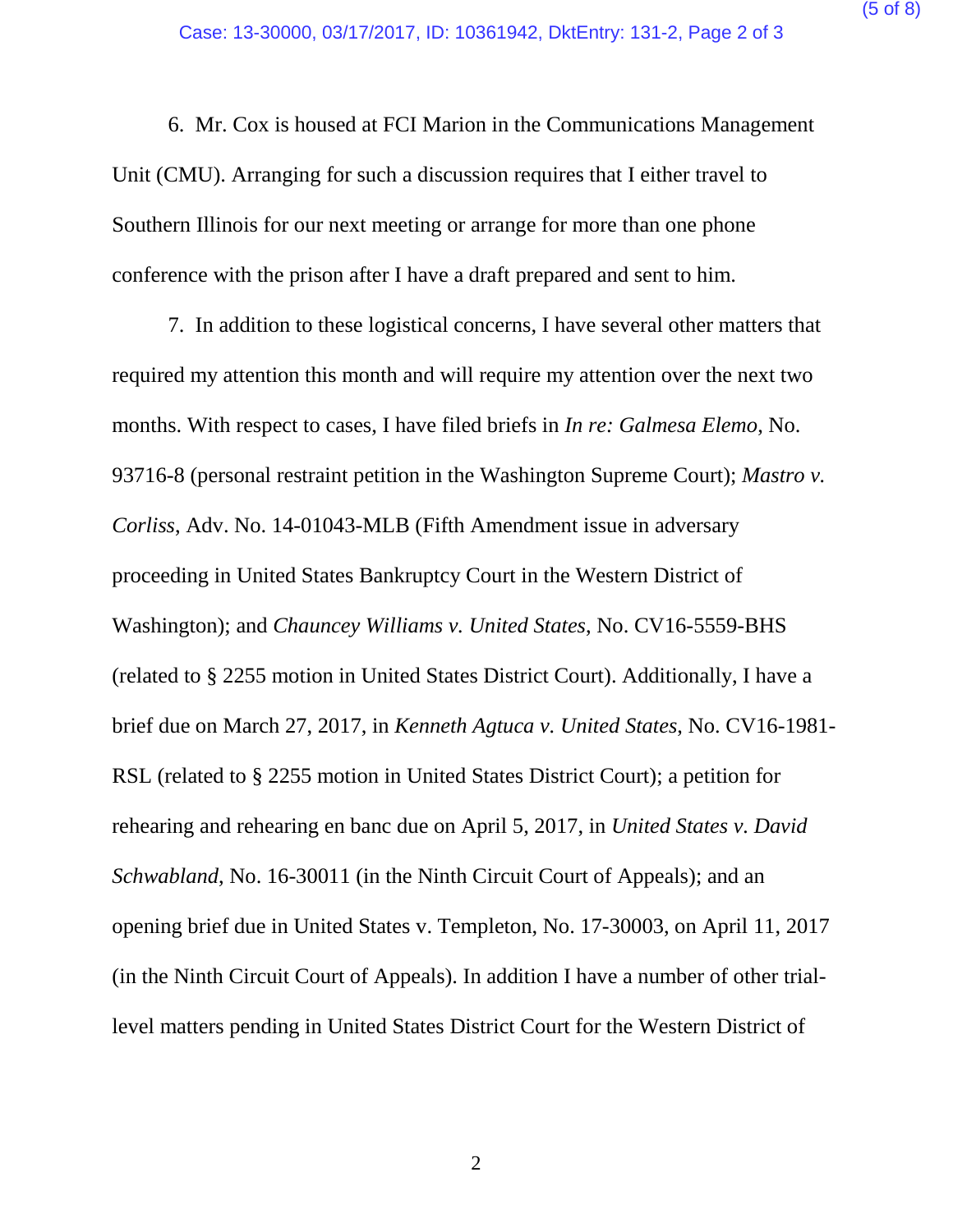6. Mr. Cox is housed at FCI Marion in the Communications Management Unit (CMU). Arranging for such a discussion requires that I either travel to Southern Illinois for our next meeting or arrange for more than one phone conference with the prison after I have a draft prepared and sent to him.

7. In addition to these logistical concerns, I have several other matters that required my attention this month and will require my attention over the next two months. With respect to cases, I have filed briefs in *In re: Galmesa Elemo*, No. 93716-8 (personal restraint petition in the Washington Supreme Court); *Mastro v. Corliss*, Adv. No. 14-01043-MLB (Fifth Amendment issue in adversary proceeding in United States Bankruptcy Court in the Western District of Washington); and *Chauncey Williams v. United States*, No. CV16-5559-BHS (related to § 2255 motion in United States District Court). Additionally, I have a brief due on March 27, 2017, in *Kenneth Agtuca v. United States*, No. CV16-1981- RSL (related to § 2255 motion in United States District Court); a petition for rehearing and rehearing en banc due on April 5, 2017, in *United States v. David Schwabland*, No. 16-30011 (in the Ninth Circuit Court of Appeals); and an opening brief due in United States v. Templeton, No. 17-30003, on April 11, 2017 (in the Ninth Circuit Court of Appeals). In addition I have a number of other triallevel matters pending in United States District Court for the Western District of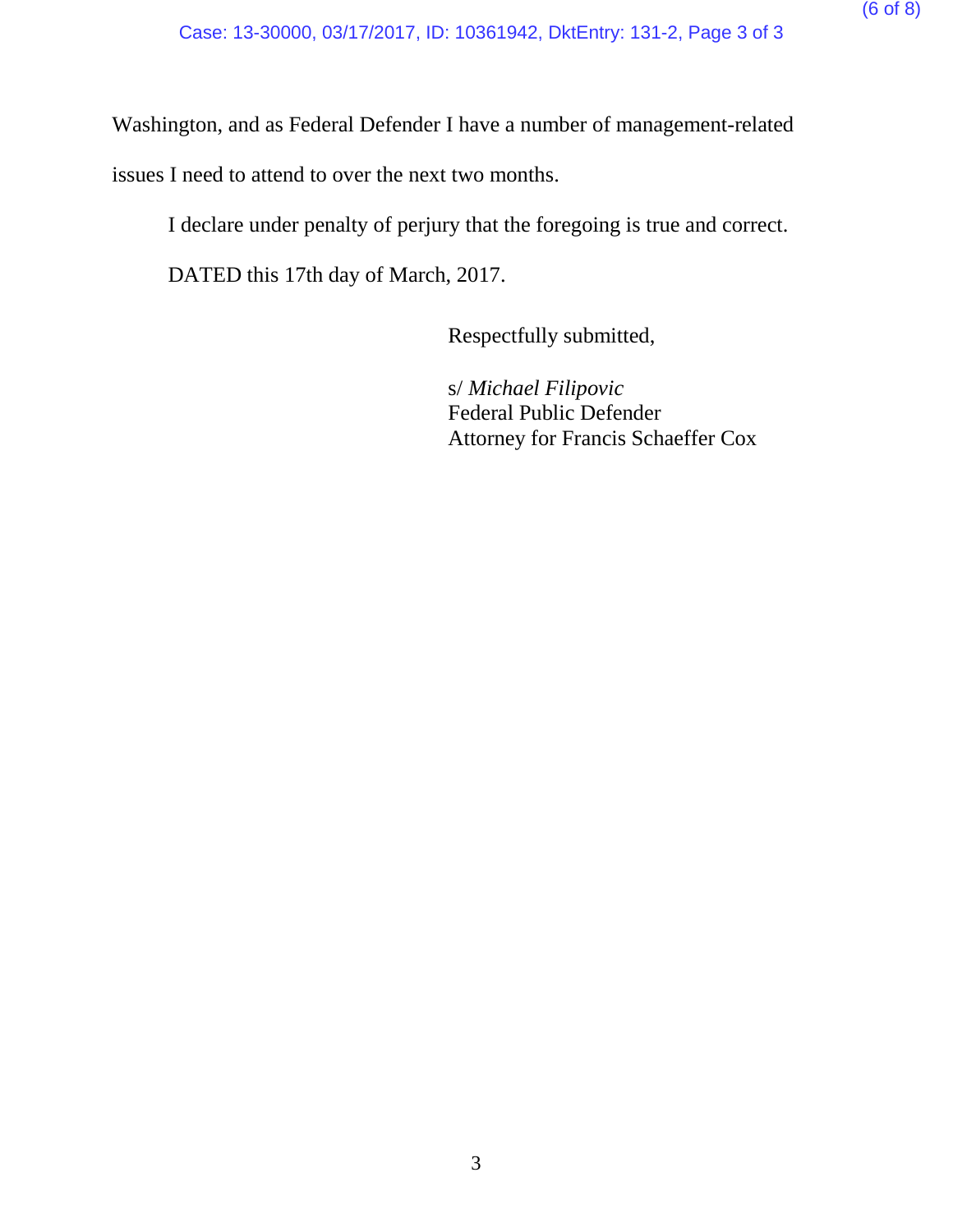Washington, and as Federal Defender I have a number of management-related

issues I need to attend to over the next two months.

I declare under penalty of perjury that the foregoing is true and correct.

DATED this 17th day of March, 2017.

Respectfully submitted,

s/ *Michael Filipovic* Federal Public Defender Attorney for Francis Schaeffer Cox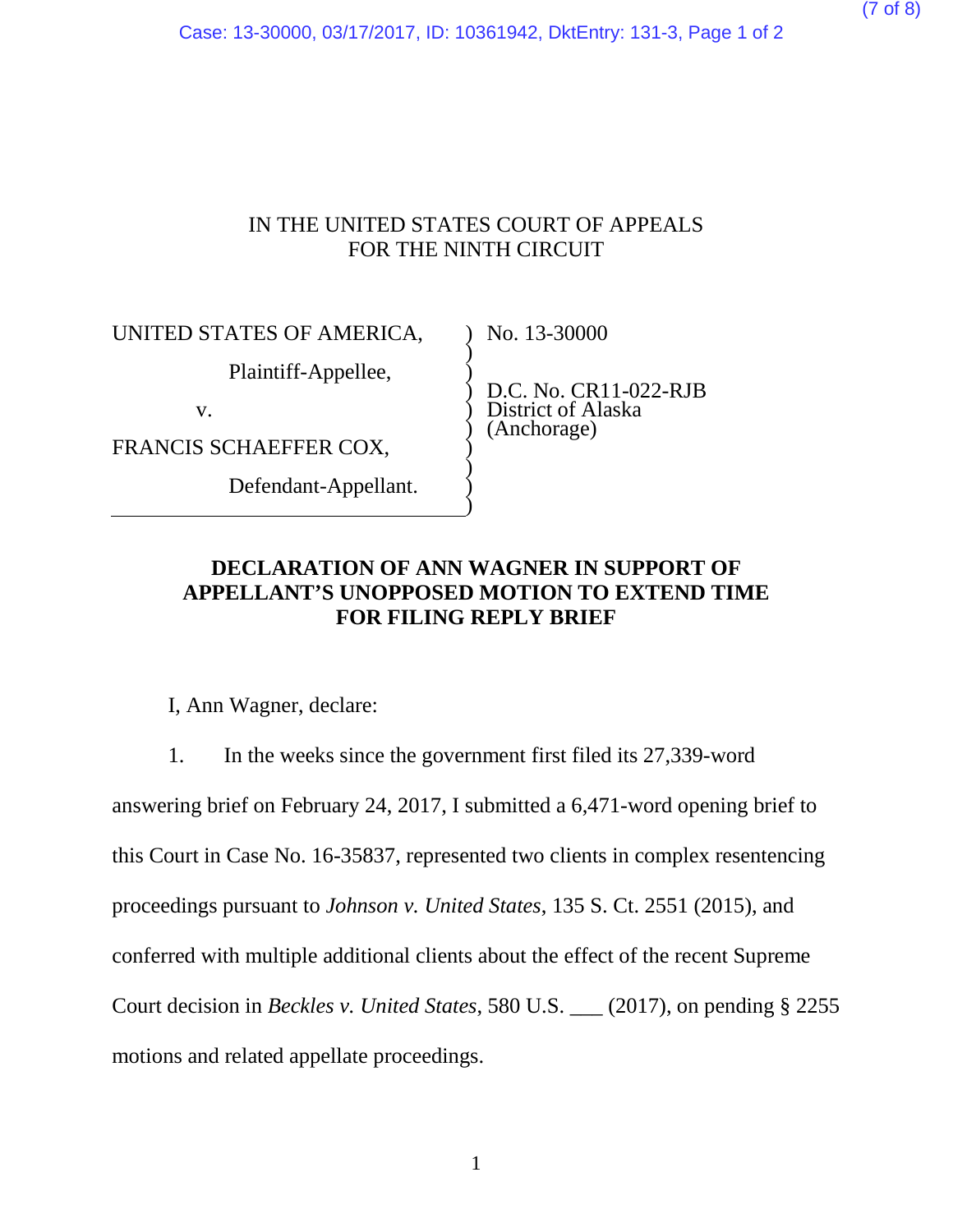Case: 13-30000, 03/17/2017, ID: 10361942, DktEntry: 131-3, Page 1 of 2

#### IN THE UNITED STATES COURT OF APPEALS FOR THE NINTH CIRCUIT

) ) ) ) ) ) ) ) ) )

UNITED STATES OF AMERICA,

Plaintiff-Appellee,

v.

FRANCIS SCHAEFFER COX,

Defendant-Appellant.

No. 13-30000

D.C. No. CR11-022-RJB District of Alaska (Anchorage)

## **DECLARATION OF ANN WAGNER IN SUPPORT OF APPELLANT'S UNOPPOSED MOTION TO EXTEND TIME FOR FILING REPLY BRIEF**

I, Ann Wagner, declare:

1. In the weeks since the government first filed its 27,339-word

answering brief on February 24, 2017, I submitted a 6,471-word opening brief to this Court in Case No. 16-35837, represented two clients in complex resentencing proceedings pursuant to *Johnson v. United States*, 135 S. Ct. 2551 (2015), and conferred with multiple additional clients about the effect of the recent Supreme Court decision in *Beckles v. United States*, 580 U.S. \_\_\_ (2017), on pending § 2255 motions and related appellate proceedings.